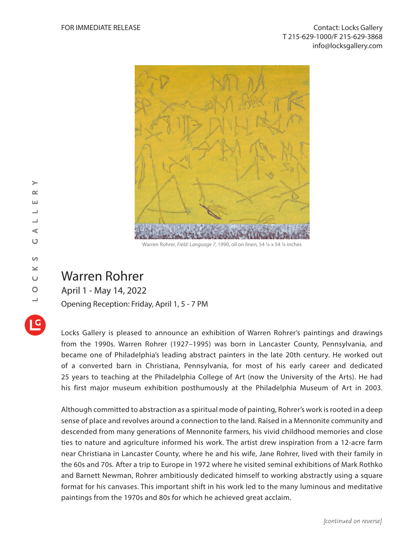

Warren Rohrer, *Field: Language 7*, 1990, oil on linen, 54 1/4 x 54 1/4 inches

## Warren Rohrer

April 1 - May 14, 2022

Opening Reception: Friday, April 1, 5 - 7 PM

Locks Gallery is pleased to announce an exhibition of Warren Rohrer's paintings and drawings from the 1990s. Warren Rohrer (1927–1995) was born in Lancaster County, Pennsylvania, and became one of Philadelphia's leading abstract painters in the late 20th century. He worked out of a converted barn in Christiana, Pennsylvania, for most of his early career and dedicated 25 years to teaching at the Philadelphia College of Art (now the University of the Arts). He had his first major museum exhibition posthumously at the Philadelphia Museum of Art in 2003.

Although committed to abstraction as a spiritual mode of painting, Rohrer's work is rooted in a deep sense of place and revolves around a connection to the land. Raised in a Mennonite community and descended from many generations of Mennonite farmers, his vivid childhood memories and close ties to nature and agriculture informed his work. The artist drew inspiration from a 12-acre farm near Christiana in Lancaster County, where he and his wife, Jane Rohrer, lived with their family in the 60s and 70s. After a trip to Europe in 1972 where he visited seminal exhibitions of Mark Rothko and Barnett Newman, Rohrer ambitiously dedicated himself to working abstractly using a square format for his canvases. This important shift in his work led to the many luminous and meditative paintings from the 1970s and 80s for which he achieved great acclaim.